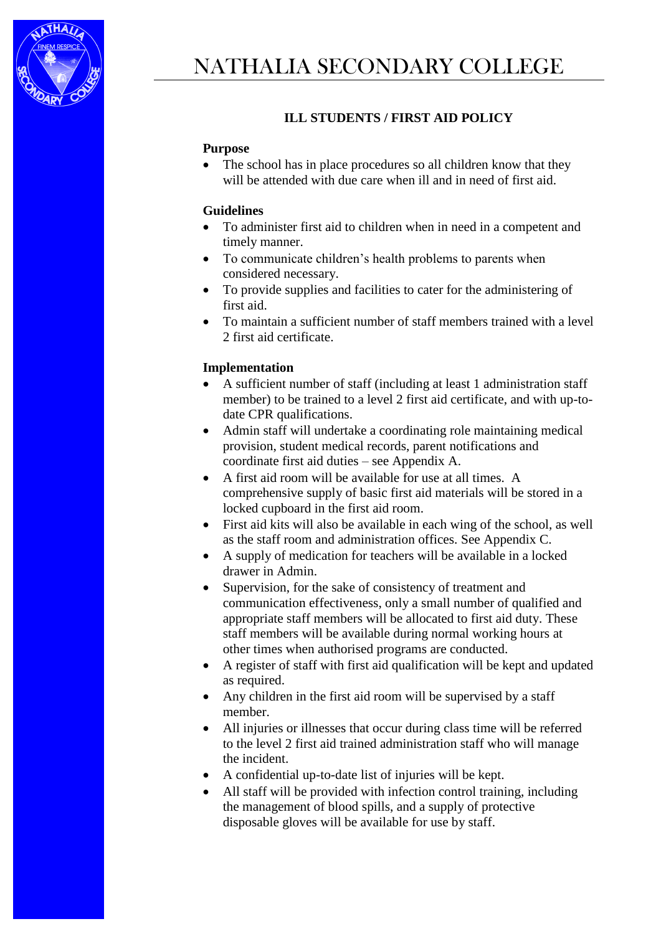

# **ILL STUDENTS / FIRST AID POLICY**

#### **Purpose**

• The school has in place procedures so all children know that they will be attended with due care when ill and in need of first aid.

#### **Guidelines**

- To administer first aid to children when in need in a competent and timely manner.
- To communicate children's health problems to parents when considered necessary.
- To provide supplies and facilities to cater for the administering of first aid.
- To maintain a sufficient number of staff members trained with a level 2 first aid certificate.

## **Implementation**

- A sufficient number of staff (including at least 1 administration staff member) to be trained to a level 2 first aid certificate, and with up-todate CPR qualifications.
- Admin staff will undertake a coordinating role maintaining medical provision, student medical records, parent notifications and coordinate first aid duties – see Appendix A.
- A first aid room will be available for use at all times. A comprehensive supply of basic first aid materials will be stored in a locked cupboard in the first aid room.
- First aid kits will also be available in each wing of the school, as well as the staff room and administration offices. See Appendix C.
- A supply of medication for teachers will be available in a locked drawer in Admin.
- Supervision, for the sake of consistency of treatment and communication effectiveness, only a small number of qualified and appropriate staff members will be allocated to first aid duty. These staff members will be available during normal working hours at other times when authorised programs are conducted.
- A register of staff with first aid qualification will be kept and updated as required.
- Any children in the first aid room will be supervised by a staff member.
- All injuries or illnesses that occur during class time will be referred to the level 2 first aid trained administration staff who will manage the incident.
- A confidential up-to-date list of injuries will be kept.
- All staff will be provided with infection control training, including the management of blood spills, and a supply of protective disposable gloves will be available for use by staff.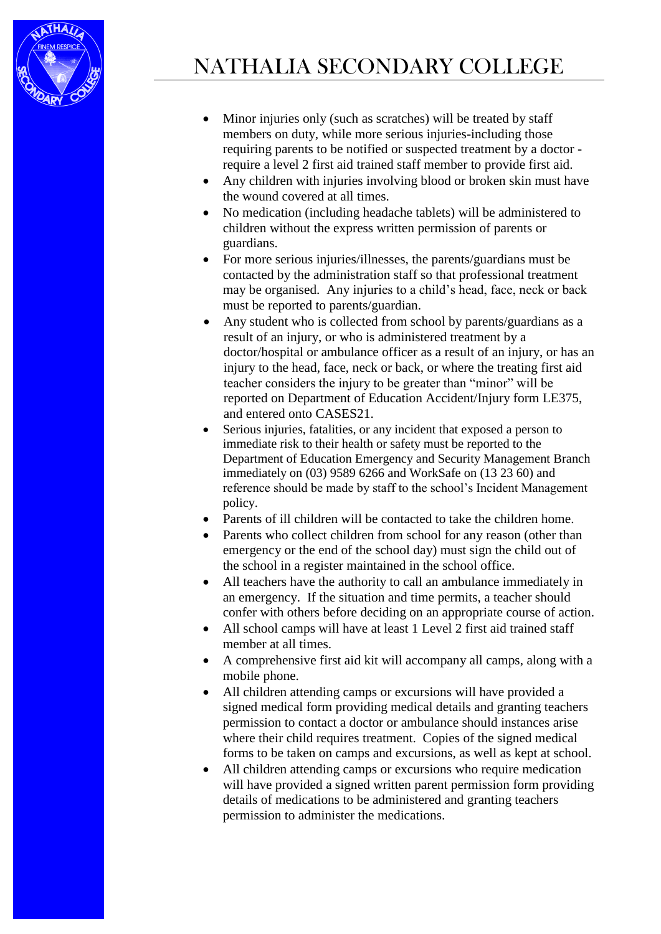

- Minor injuries only (such as scratches) will be treated by staff members on duty, while more serious injuries-including those requiring parents to be notified or suspected treatment by a doctor require a level 2 first aid trained staff member to provide first aid.
- Any children with injuries involving blood or broken skin must have the wound covered at all times.
- No medication (including headache tablets) will be administered to children without the express written permission of parents or guardians.
- For more serious injuries/illnesses, the parents/guardians must be contacted by the administration staff so that professional treatment may be organised. Any injuries to a child's head, face, neck or back must be reported to parents/guardian.
- Any student who is collected from school by parents/guardians as a result of an injury, or who is administered treatment by a doctor/hospital or ambulance officer as a result of an injury, or has an injury to the head, face, neck or back, or where the treating first aid teacher considers the injury to be greater than "minor" will be reported on Department of Education Accident/Injury form LE375, and entered onto CASES21.
- Serious injuries, fatalities, or any incident that exposed a person to immediate risk to their health or safety must be reported to the Department of Education Emergency and Security Management Branch immediately on (03) 9589 6266 and WorkSafe on (13 23 60) and reference should be made by staff to the school's Incident Management policy.
- Parents of ill children will be contacted to take the children home.
- Parents who collect children from school for any reason (other than emergency or the end of the school day) must sign the child out of the school in a register maintained in the school office.
- All teachers have the authority to call an ambulance immediately in an emergency. If the situation and time permits, a teacher should confer with others before deciding on an appropriate course of action.
- All school camps will have at least 1 Level 2 first aid trained staff member at all times.
- A comprehensive first aid kit will accompany all camps, along with a mobile phone.
- All children attending camps or excursions will have provided a signed medical form providing medical details and granting teachers permission to contact a doctor or ambulance should instances arise where their child requires treatment. Copies of the signed medical forms to be taken on camps and excursions, as well as kept at school.
- All children attending camps or excursions who require medication will have provided a signed written parent permission form providing details of medications to be administered and granting teachers permission to administer the medications.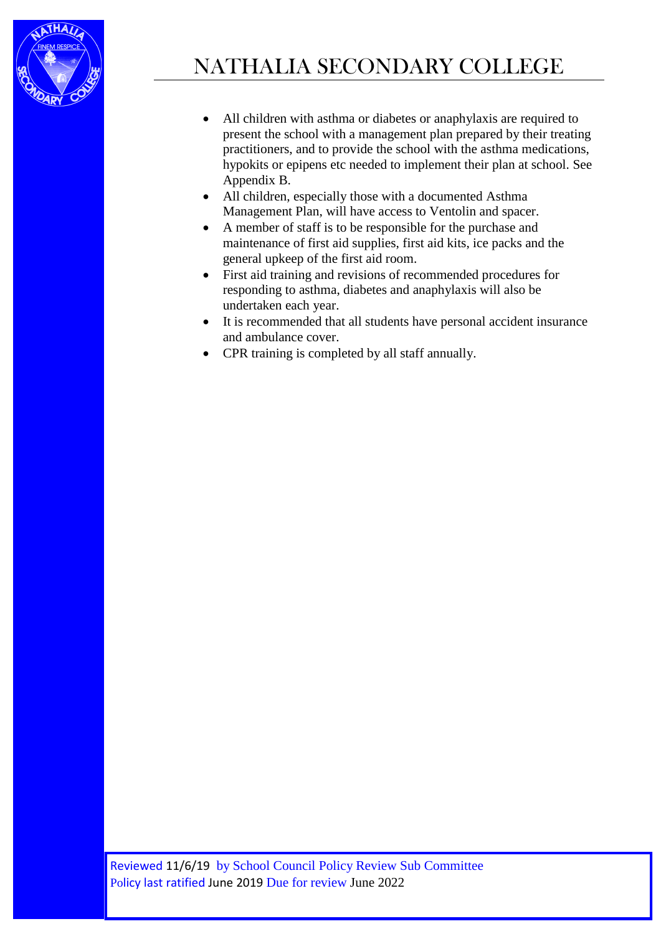

- All children with asthma or diabetes or anaphylaxis are required to present the school with a management plan prepared by their treating practitioners, and to provide the school with the asthma medications, hypokits or epipens etc needed to implement their plan at school. See Appendix B.
- All children, especially those with a documented Asthma Management Plan, will have access to Ventolin and spacer.
- A member of staff is to be responsible for the purchase and maintenance of first aid supplies, first aid kits, ice packs and the general upkeep of the first aid room.
- First aid training and revisions of recommended procedures for responding to asthma, diabetes and anaphylaxis will also be undertaken each year.
- It is recommended that all students have personal accident insurance and ambulance cover.
- CPR training is completed by all staff annually.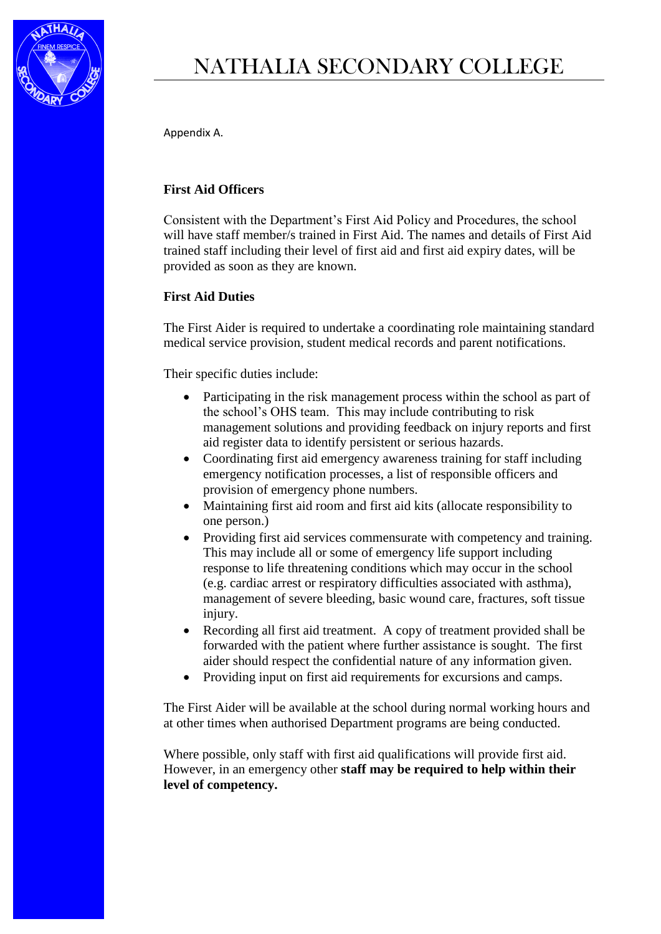

# NATHALIA SECONDARY COLLEGE

Appendix A.

#### **First Aid Officers**

Consistent with the Department's First Aid Policy and Procedures, the school will have staff member/s trained in First Aid. The names and details of First Aid trained staff including their level of first aid and first aid expiry dates, will be provided as soon as they are known.

#### **First Aid Duties**

The First Aider is required to undertake a coordinating role maintaining standard medical service provision, student medical records and parent notifications.

Their specific duties include:

- Participating in the risk management process within the school as part of the school's OHS team. This may include contributing to risk management solutions and providing feedback on injury reports and first aid register data to identify persistent or serious hazards.
- Coordinating first aid emergency awareness training for staff including emergency notification processes, a list of responsible officers and provision of emergency phone numbers.
- Maintaining first aid room and first aid kits (allocate responsibility to one person.)
- Providing first aid services commensurate with competency and training. This may include all or some of emergency life support including response to life threatening conditions which may occur in the school (e.g. cardiac arrest or respiratory difficulties associated with asthma), management of severe bleeding, basic wound care, fractures, soft tissue injury.
- Recording all first aid treatment. A copy of treatment provided shall be forwarded with the patient where further assistance is sought. The first aider should respect the confidential nature of any information given.
- Providing input on first aid requirements for excursions and camps.

The First Aider will be available at the school during normal working hours and at other times when authorised Department programs are being conducted.

Where possible, only staff with first aid qualifications will provide first aid. However, in an emergency other **staff may be required to help within their level of competency.**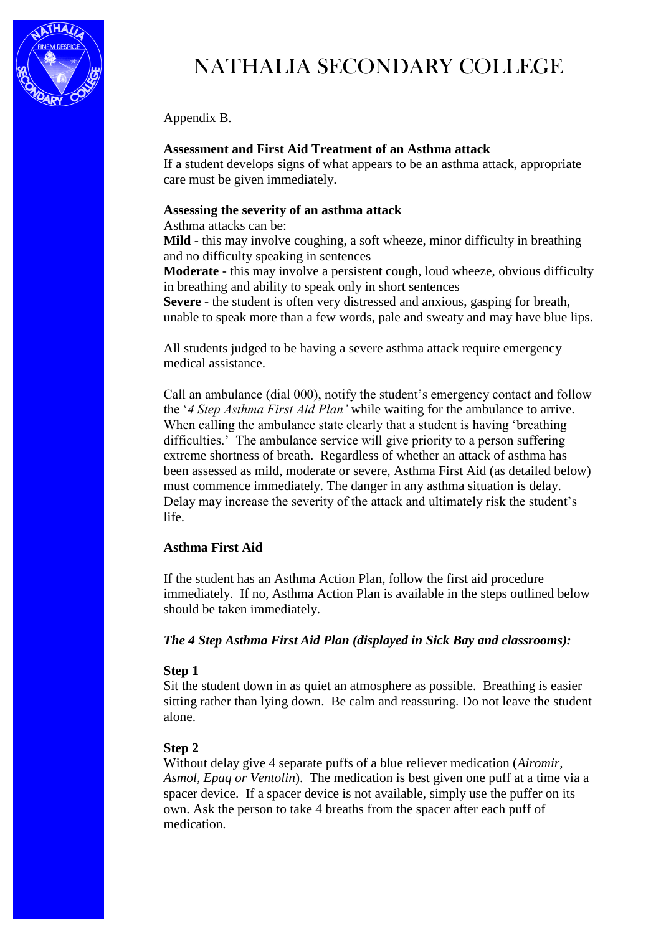

Appendix B.

### **Assessment and First Aid Treatment of an Asthma attack**

If a student develops signs of what appears to be an asthma attack, appropriate care must be given immediately.

#### **Assessing the severity of an asthma attack**

Asthma attacks can be:

**Mild** - this may involve coughing, a soft wheeze, minor difficulty in breathing and no difficulty speaking in sentences

**Moderate** - this may involve a persistent cough, loud wheeze, obvious difficulty in breathing and ability to speak only in short sentences

**Severe** - the student is often very distressed and anxious, gasping for breath, unable to speak more than a few words, pale and sweaty and may have blue lips.

All students judged to be having a severe asthma attack require emergency medical assistance.

Call an ambulance (dial 000), notify the student's emergency contact and follow the '*4 Step Asthma First Aid Plan'* while waiting for the ambulance to arrive. When calling the ambulance state clearly that a student is having 'breathing difficulties.' The ambulance service will give priority to a person suffering extreme shortness of breath. Regardless of whether an attack of asthma has been assessed as mild, moderate or severe, Asthma First Aid (as detailed below) must commence immediately. The danger in any asthma situation is delay. Delay may increase the severity of the attack and ultimately risk the student's life.

#### **Asthma First Aid**

If the student has an Asthma Action Plan, follow the first aid procedure immediately. If no, Asthma Action Plan is available in the steps outlined below should be taken immediately.

#### *The 4 Step Asthma First Aid Plan (displayed in Sick Bay and classrooms):*

#### **Step 1**

Sit the student down in as quiet an atmosphere as possible. Breathing is easier sitting rather than lying down. Be calm and reassuring. Do not leave the student alone.

#### **Step 2**

Without delay give 4 separate puffs of a blue reliever medication (*Airomir, Asmol, Epaq or Ventolin*). The medication is best given one puff at a time via a spacer device. If a spacer device is not available, simply use the puffer on its own. Ask the person to take 4 breaths from the spacer after each puff of medication.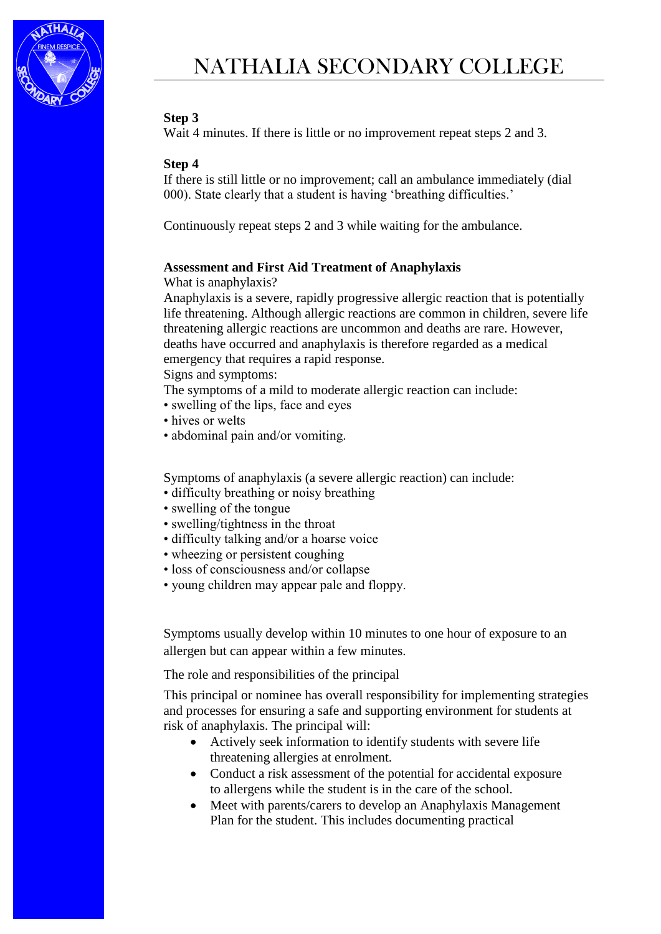

#### **Step 3**

Wait 4 minutes. If there is little or no improvement repeat steps 2 and 3.

#### **Step 4**

If there is still little or no improvement; call an ambulance immediately (dial 000). State clearly that a student is having 'breathing difficulties.'

Continuously repeat steps 2 and 3 while waiting for the ambulance.

#### **Assessment and First Aid Treatment of Anaphylaxis**

What is anaphylaxis?

Anaphylaxis is a severe, rapidly progressive allergic reaction that is potentially life threatening. Although allergic reactions are common in children, severe life threatening allergic reactions are uncommon and deaths are rare. However, deaths have occurred and anaphylaxis is therefore regarded as a medical emergency that requires a rapid response.

Signs and symptoms:

The symptoms of a mild to moderate allergic reaction can include:

- swelling of the lips, face and eyes
- hives or welts
- abdominal pain and/or vomiting.

Symptoms of anaphylaxis (a severe allergic reaction) can include:

- difficulty breathing or noisy breathing
- swelling of the tongue
- swelling/tightness in the throat
- difficulty talking and/or a hoarse voice
- wheezing or persistent coughing
- loss of consciousness and/or collapse
- young children may appear pale and floppy.

Symptoms usually develop within 10 minutes to one hour of exposure to an allergen but can appear within a few minutes.

The role and responsibilities of the principal

This principal or nominee has overall responsibility for implementing strategies and processes for ensuring a safe and supporting environment for students at risk of anaphylaxis. The principal will:

- Actively seek information to identify students with severe life threatening allergies at enrolment.
- Conduct a risk assessment of the potential for accidental exposure to allergens while the student is in the care of the school.
- Meet with parents/carers to develop an Anaphylaxis Management Plan for the student. This includes documenting practical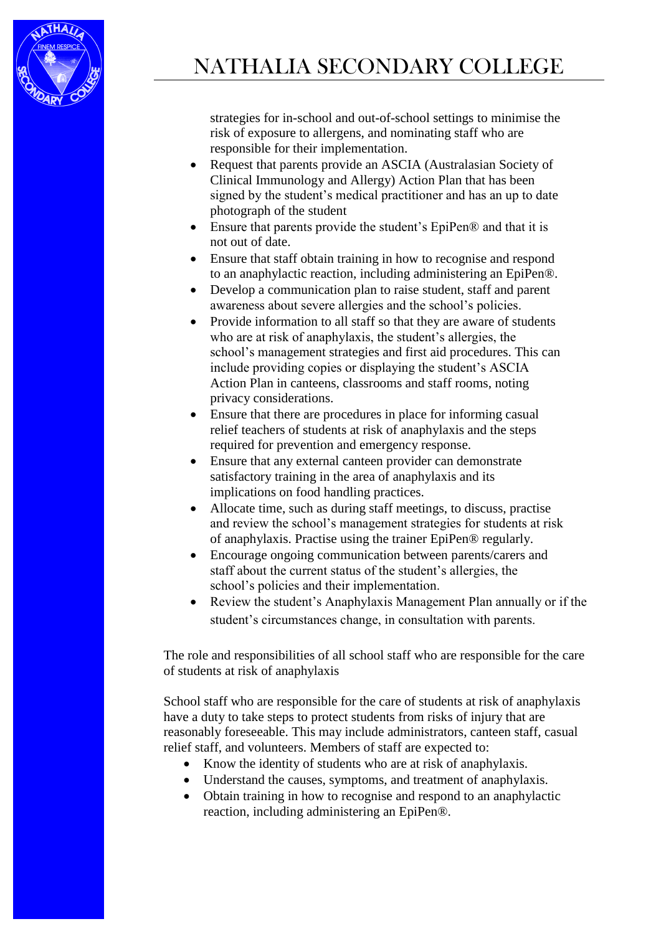

strategies for in-school and out-of-school settings to minimise the risk of exposure to allergens, and nominating staff who are responsible for their implementation.

- Request that parents provide an ASCIA (Australasian Society of Clinical Immunology and Allergy) Action Plan that has been signed by the student's medical practitioner and has an up to date photograph of the student
- Ensure that parents provide the student's EpiPen® and that it is not out of date.
- Ensure that staff obtain training in how to recognise and respond to an anaphylactic reaction, including administering an EpiPen®.
- Develop a communication plan to raise student, staff and parent awareness about severe allergies and the school's policies.
- Provide information to all staff so that they are aware of students who are at risk of anaphylaxis, the student's allergies, the school's management strategies and first aid procedures. This can include providing copies or displaying the student's ASCIA Action Plan in canteens, classrooms and staff rooms, noting privacy considerations.
- Ensure that there are procedures in place for informing casual relief teachers of students at risk of anaphylaxis and the steps required for prevention and emergency response.
- Ensure that any external canteen provider can demonstrate satisfactory training in the area of anaphylaxis and its implications on food handling practices.
- Allocate time, such as during staff meetings, to discuss, practise and review the school's management strategies for students at risk of anaphylaxis. Practise using the trainer EpiPen® regularly.
- Encourage ongoing communication between parents/carers and staff about the current status of the student's allergies, the school's policies and their implementation.
- Review the student's Anaphylaxis Management Plan annually or if the student's circumstances change, in consultation with parents.

The role and responsibilities of all school staff who are responsible for the care of students at risk of anaphylaxis

School staff who are responsible for the care of students at risk of anaphylaxis have a duty to take steps to protect students from risks of injury that are reasonably foreseeable. This may include administrators, canteen staff, casual relief staff, and volunteers. Members of staff are expected to:

- Know the identity of students who are at risk of anaphylaxis.
- Understand the causes, symptoms, and treatment of anaphylaxis.
- Obtain training in how to recognise and respond to an anaphylactic reaction, including administering an EpiPen®.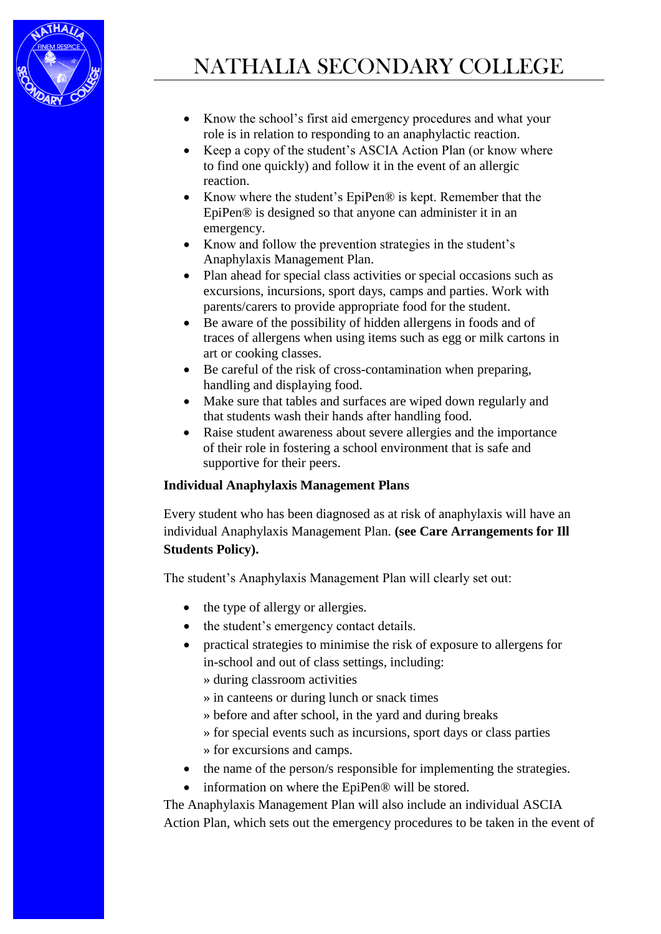

- Know the school's first aid emergency procedures and what your role is in relation to responding to an anaphylactic reaction.
- Keep a copy of the student's ASCIA Action Plan (or know where to find one quickly) and follow it in the event of an allergic reaction.
- Know where the student's EpiPen® is kept. Remember that the EpiPen® is designed so that anyone can administer it in an emergency.
- Know and follow the prevention strategies in the student's Anaphylaxis Management Plan.
- Plan ahead for special class activities or special occasions such as excursions, incursions, sport days, camps and parties. Work with parents/carers to provide appropriate food for the student.
- Be aware of the possibility of hidden allergens in foods and of traces of allergens when using items such as egg or milk cartons in art or cooking classes.
- Be careful of the risk of cross-contamination when preparing, handling and displaying food.
- Make sure that tables and surfaces are wiped down regularly and that students wash their hands after handling food.
- Raise student awareness about severe allergies and the importance of their role in fostering a school environment that is safe and supportive for their peers.

## **Individual Anaphylaxis Management Plans**

Every student who has been diagnosed as at risk of anaphylaxis will have an individual Anaphylaxis Management Plan. **(see Care Arrangements for Ill Students Policy).**

The student's Anaphylaxis Management Plan will clearly set out:

- the type of allergy or allergies.
- the student's emergency contact details.
- practical strategies to minimise the risk of exposure to allergens for in-school and out of class settings, including:
	- » during classroom activities
	- » in canteens or during lunch or snack times
	- » before and after school, in the yard and during breaks
	- » for special events such as incursions, sport days or class parties » for excursions and camps.
- the name of the person/s responsible for implementing the strategies.
- information on where the EpiPen® will be stored.

The Anaphylaxis Management Plan will also include an individual ASCIA Action Plan, which sets out the emergency procedures to be taken in the event of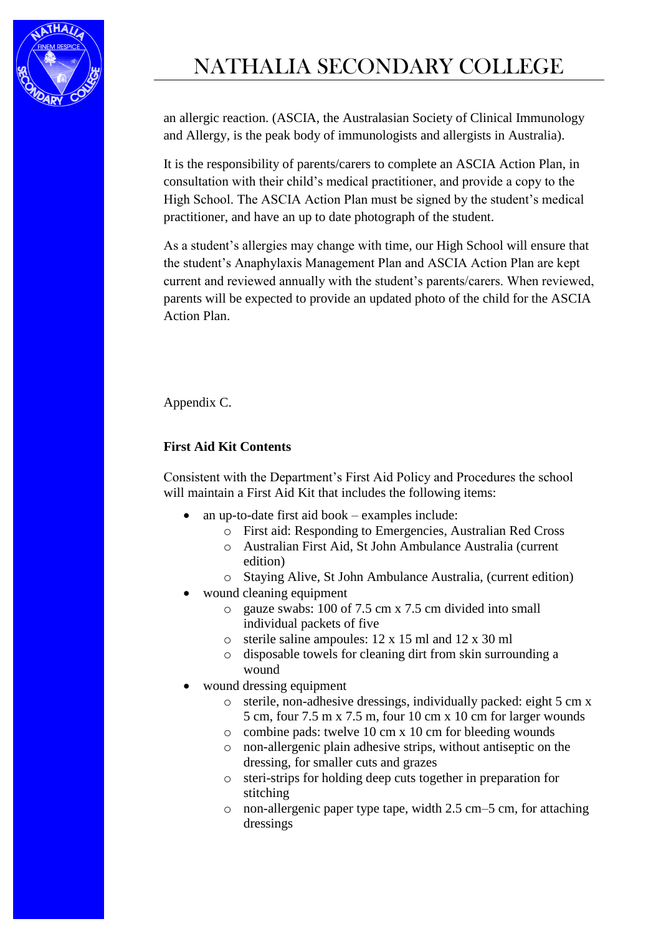

# NATHALIA SECONDARY COLLEGE

an allergic reaction. (ASCIA, the Australasian Society of Clinical Immunology and Allergy, is the peak body of immunologists and allergists in Australia).

It is the responsibility of parents/carers to complete an ASCIA Action Plan, in consultation with their child's medical practitioner, and provide a copy to the High School. The ASCIA Action Plan must be signed by the student's medical practitioner, and have an up to date photograph of the student.

As a student's allergies may change with time, our High School will ensure that the student's Anaphylaxis Management Plan and ASCIA Action Plan are kept current and reviewed annually with the student's parents/carers. When reviewed, parents will be expected to provide an updated photo of the child for the ASCIA Action Plan.

Appendix C.

# **First Aid Kit Contents**

Consistent with the Department's First Aid Policy and Procedures the school will maintain a First Aid Kit that includes the following items:

- an up-to-date first aid book examples include:
	- o First aid: Responding to Emergencies, Australian Red Cross
	- o Australian First Aid, St John Ambulance Australia (current edition)
	- o Staying Alive, St John Ambulance Australia, (current edition)
- wound cleaning equipment
	- o gauze swabs: 100 of 7.5 cm x 7.5 cm divided into small individual packets of five
	- o sterile saline ampoules: 12 x 15 ml and 12 x 30 ml
	- o disposable towels for cleaning dirt from skin surrounding a wound
- wound dressing equipment
	- o sterile, non-adhesive dressings, individually packed: eight 5 cm x 5 cm, four 7.5 m x 7.5 m, four 10 cm x 10 cm for larger wounds
	- o combine pads: twelve 10 cm x 10 cm for bleeding wounds
	- o non-allergenic plain adhesive strips, without antiseptic on the dressing, for smaller cuts and grazes
	- o steri-strips for holding deep cuts together in preparation for stitching
	- o non-allergenic paper type tape, width 2.5 cm–5 cm, for attaching dressings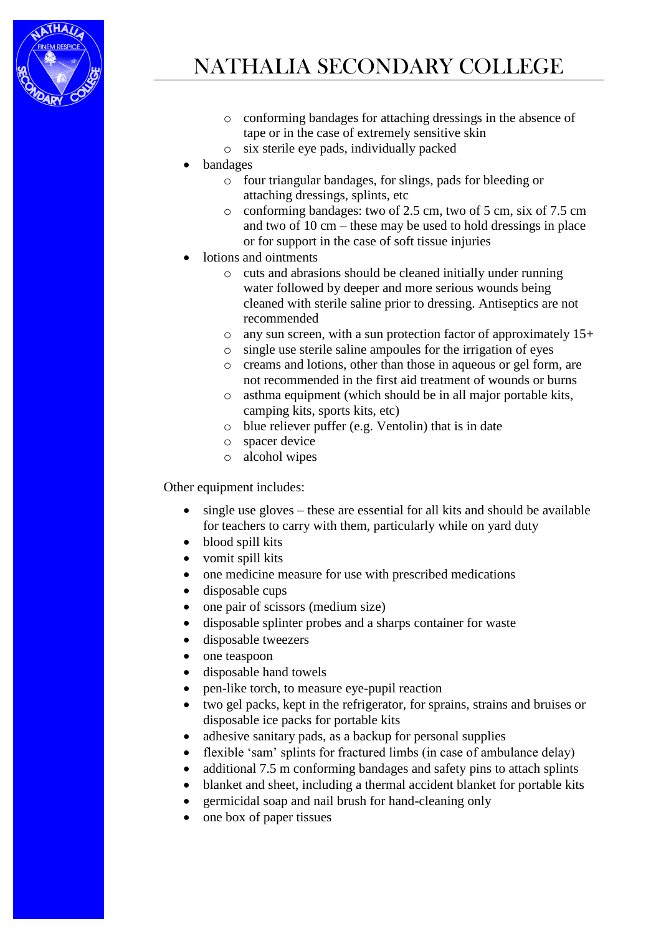

- o conforming bandages for attaching dressings in the absence of tape or in the case of extremely sensitive skin
- o six sterile eye pads, individually packed
- bandages
	- o four triangular bandages, for slings, pads for bleeding or attaching dressings, splints, etc
	- o conforming bandages: two of 2.5 cm, two of 5 cm, six of 7.5 cm and two of 10 cm – these may be used to hold dressings in place or for support in the case of soft tissue injuries
- lotions and ointments
	- o cuts and abrasions should be cleaned initially under running water followed by deeper and more serious wounds being cleaned with sterile saline prior to dressing. Antiseptics are not recommended
	- o any sun screen, with a sun protection factor of approximately 15+
	- o single use sterile saline ampoules for the irrigation of eyes
	- o creams and lotions, other than those in aqueous or gel form, are not recommended in the first aid treatment of wounds or burns
	- o asthma equipment (which should be in all major portable kits, camping kits, sports kits, etc)
	- o blue reliever puffer (e.g. Ventolin) that is in date
	- o spacer device
	- o alcohol wipes

Other equipment includes:

- single use gloves these are essential for all kits and should be available for teachers to carry with them, particularly while on yard duty
- blood spill kits
- vomit spill kits
- one medicine measure for use with prescribed medications
- disposable cups
- one pair of scissors (medium size)
- disposable splinter probes and a sharps container for waste
- disposable tweezers
- one teaspoon
- disposable hand towels
- pen-like torch, to measure eye-pupil reaction
- two gel packs, kept in the refrigerator, for sprains, strains and bruises or disposable ice packs for portable kits
- adhesive sanitary pads, as a backup for personal supplies
- flexible 'sam' splints for fractured limbs (in case of ambulance delay)
- additional 7.5 m conforming bandages and safety pins to attach splints
- blanket and sheet, including a thermal accident blanket for portable kits
- germicidal soap and nail brush for hand-cleaning only
- one box of paper tissues